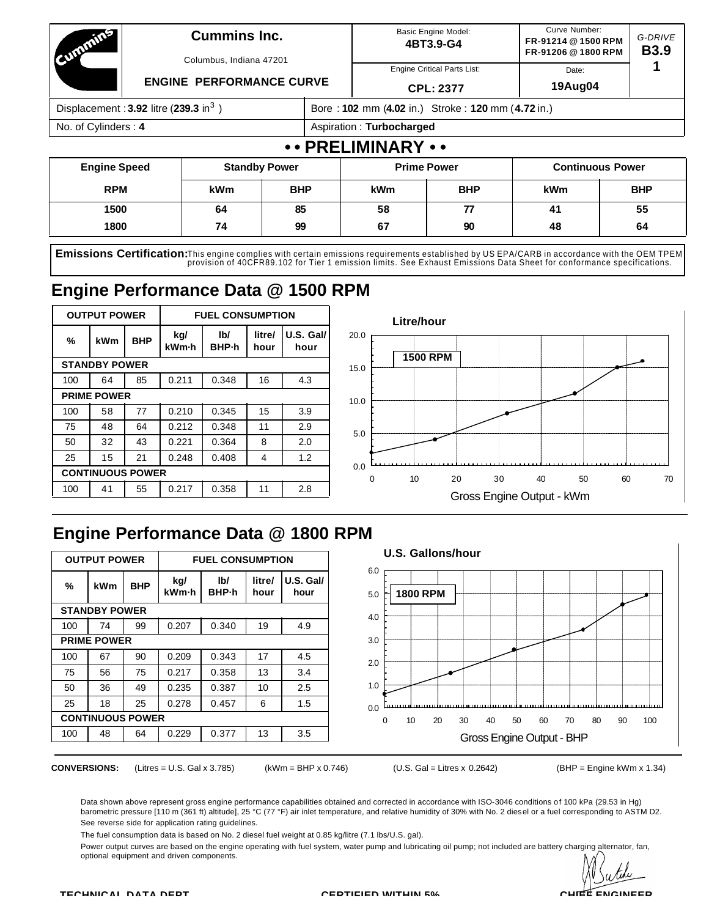| Counting 1                                          |                     | <b>Cummins Inc.</b>             |            |                    |                                                   | <b>Basic Engine Model:</b><br>4BT3.9-G4 | Curve Number:<br>FR-91214 @ 1500 RPM<br>FR-91206 @ 1800 RPM |                         | G-DRIVE<br><b>B3.9</b> |  |  |  |
|-----------------------------------------------------|---------------------|---------------------------------|------------|--------------------|---------------------------------------------------|-----------------------------------------|-------------------------------------------------------------|-------------------------|------------------------|--|--|--|
|                                                     |                     | Columbus, Indiana 47201         |            |                    |                                                   | <b>Engine Critical Parts List:</b>      | Date:                                                       |                         |                        |  |  |  |
|                                                     |                     | <b>ENGINE PERFORMANCE CURVE</b> |            |                    |                                                   | <b>CPL: 2377</b>                        | 19Aug04                                                     |                         |                        |  |  |  |
| Displacement: $3.92$ litre (239.3 in <sup>3</sup> ) |                     |                                 |            |                    | Bore: 102 mm (4.02 in.) Stroke: 120 mm (4.72 in.) |                                         |                                                             |                         |                        |  |  |  |
|                                                     | No. of Cylinders: 4 |                                 |            |                    |                                                   | Aspiration: Turbocharged                |                                                             |                         |                        |  |  |  |
|                                                     |                     |                                 |            |                    | •• PRELIMINARY ••                                 |                                         |                                                             |                         |                        |  |  |  |
| <b>Engine Speed</b><br><b>Standby Power</b>         |                     |                                 |            | <b>Prime Power</b> |                                                   |                                         |                                                             | <b>Continuous Power</b> |                        |  |  |  |
| <b>RPM</b>                                          |                     | <b>kWm</b>                      | <b>BHP</b> |                    | <b>kWm</b>                                        | <b>BHP</b>                              | <b>kWm</b>                                                  |                         | <b>BHP</b>             |  |  |  |
| 1500                                                | 85<br>64            |                                 |            | 58                 | 77                                                | 41                                      |                                                             | 55                      |                        |  |  |  |

**Emissions Certification:**This engine complies with certain emissions requirements established by US EPA/CARB in accordance with the OEM TPEM<br>provision of 40CFR89.102 for Tier 1 emission limits. See Exhaust Emissions Data

**1800 74 99 67 90 48 64**

# **Engine Performance Data @ 1500 RPM**

| <b>OUTPUT POWER</b><br><b>FUEL CONSUMPTION</b> |                         |            |              |                         |                |                     | Litre/hour                                         |  |  |  |  |  |  |
|------------------------------------------------|-------------------------|------------|--------------|-------------------------|----------------|---------------------|----------------------------------------------------|--|--|--|--|--|--|
| $\%$                                           | <b>kWm</b>              | <b>BHP</b> | kg/<br>kWm-h | I <sub>b</sub><br>BHP-h | litre/<br>hour | $U.S.$ Gal/<br>hour | 20.0                                               |  |  |  |  |  |  |
|                                                | <b>STANDBY POWER</b>    |            |              |                         |                |                     | <b>1500 RPM</b><br>15.0                            |  |  |  |  |  |  |
| 100                                            | 64                      | 85         | 0.211        | 0.348                   | 16             | 4.3                 |                                                    |  |  |  |  |  |  |
|                                                | <b>PRIME POWER</b>      |            |              |                         |                |                     | 10.0                                               |  |  |  |  |  |  |
| 100                                            | 58                      | 77         | 0.210        | 0.345                   | 15             | 3.9                 |                                                    |  |  |  |  |  |  |
| 75                                             | 48                      | 64         | 0.212        | 0.348                   | 11             | 2.9                 | 5.0                                                |  |  |  |  |  |  |
| 50                                             | 32                      | 43         | 0.221        | 0.364                   | 8              | 2.0                 |                                                    |  |  |  |  |  |  |
| 25                                             | 15                      | 21         | 0.248        | 0.408                   | 4              | 1.2                 |                                                    |  |  |  |  |  |  |
|                                                | <b>CONTINUOUS POWER</b> |            |              |                         |                |                     | 0.0<br>70<br>20<br>60<br>0<br>10<br>30<br>40<br>50 |  |  |  |  |  |  |
| 100                                            | 41                      | 55         | 0.217        | 0.358                   | 11             | 2.8                 | Gross Engine Output - kWm                          |  |  |  |  |  |  |
|                                                |                         |            |              |                         |                |                     |                                                    |  |  |  |  |  |  |

# **Engine Performance Data @ 1800 RPM**

|     | <b>OUTPUT POWER</b>     |            |              | <b>FUEL CONSUMPTION</b> |                |                   |
|-----|-------------------------|------------|--------------|-------------------------|----------------|-------------------|
| %   | <b>kWm</b>              | <b>BHP</b> | kg/<br>kWm-h | I <sub>b</sub><br>BHP-h | litre/<br>hour | U.S. Gal/<br>hour |
|     | <b>STANDBY POWER</b>    |            |              |                         |                |                   |
| 100 | 74                      | 99         | 0.207        | 0.340                   | 19             | 4.9               |
|     | <b>PRIME POWER</b>      |            |              |                         |                |                   |
| 100 | 67                      | 90         | 0.209        | 0.343                   | 17             | 4.5               |
| 75  | 56                      | 75         | 0.217        | 0.358                   | 13             | 3.4               |
| 50  | 36                      | 49         | 0.235        | 0.387                   | 10             | 2.5               |
| 25  | 18                      | 25         | 0.278        | 0.457                   | 6              | 1.5               |
|     | <b>CONTINUOUS POWER</b> |            |              |                         |                |                   |
| 100 | 48                      | 64         | 0.229        | 0.377                   | 13             | 3.5               |

**CONVERSIONS:** (Litres = U.S. Gal x 3.785) (kWm = BHP x 0.746) (U.S. Gal = Litres x 0.2642) (BHP = Engine kWm x 1.34)

Data shown above represent gross engine performance capabilities obtained and corrected in accordance with ISO-3046 conditions of 100 kPa (29.53 in Hg) barometric pressure [110 m (361 ft) altitude], 25 °C (77 °F) air inlet temperature, and relative humidity of 30% with No. 2 diesel or a fuel corresponding to ASTM D2. See reverse side for application rating guidelines.

The fuel consumption data is based on No. 2 diesel fuel weight at 0.85 kg/litre (7.1 lbs/U.S. gal).

Power output curves are based on the engine operating with fuel system, water pump and lubricating oil pump; not included are battery charging alternator, fan, optional equipment and driven components.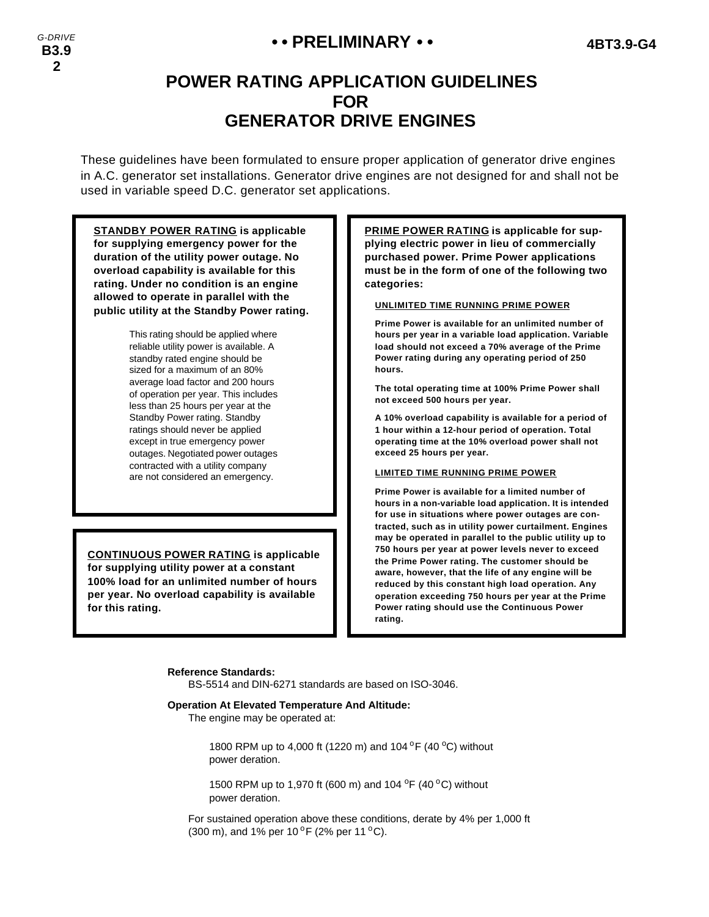## **• • PRELIMINARY • • 4BT3.9-G4**

# **POWER RATING APPLICATION GUIDELINES FOR GENERATOR DRIVE ENGINES**

These guidelines have been formulated to ensure proper application of generator drive engines in A.C. generator set installations. Generator drive engines are not designed for and shall not be used in variable speed D.C. generator set applications.

**STANDBY POWER RATING is applicable for supplying emergency power for the duration of the utility power outage. No overload capability is available for this rating. Under no condition is an engine allowed to operate in parallel with the public utility at the Standby Power rating.**

> This rating should be applied where reliable utility power is available. A standby rated engine should be sized for a maximum of an 80% average load factor and 200 hours of operation per year. This includes less than 25 hours per year at the Standby Power rating. Standby ratings should never be applied except in true emergency power outages. Negotiated power outages contracted with a utility company are not considered an emergency.

**CONTINUOUS POWER RATING is applicable for supplying utility power at a constant 100% load for an unlimited number of hours per year. No overload capability is available for this rating.**

**PRIME POWER RATING is applicable for supplying electric power in lieu of commercially purchased power. Prime Power applications must be in the form of one of the following two categories:**

#### **UNLIMITED TIME RUNNING PRIME POWER**

**Prime Power is available for an unlimited number of hours per year in a variable load application. Variable load should not exceed a 70% average of the Prime Power rating during any operating period of 250 hours.**

**The total operating time at 100% Prime Power shall not exceed 500 hours per year.**

**A 10% overload capability is available for a period of 1 hour within a 12-hour period of operation. Total operating time at the 10% overload power shall not exceed 25 hours per year.**

#### **LIMITED TIME RUNNING PRIME POWER**

**Prime Power is available for a limited number of hours in a non-variable load application. It is intended for use in situations where power outages are contracted, such as in utility power curtailment. Engines may be operated in parallel to the public utility up to 750 hours per year at power levels never to exceed the Prime Power rating. The customer should be aware, however, that the life of any engine will be reduced by this constant high load operation. Any operation exceeding 750 hours per year at the Prime Power rating should use the Continuous Power rating.**

#### **Reference Standards:**

BS-5514 and DIN-6271 standards are based on ISO-3046.

#### **Operation At Elevated Temperature And Altitude:**

The engine may be operated at:

1800 RPM up to 4,000 ft (1220 m) and 104  $^{\circ}$ F (40  $^{\circ}$ C) without power deration.

1500 RPM up to 1,970 ft (600 m) and 104  $^{\circ}$ F (40  $^{\circ}$ C) without power deration.

For sustained operation above these conditions, derate by 4% per 1,000 ft (300 m), and 1% per 10  $\rm{^{\circ}F}$  (2% per 11  $\rm{^{\circ}C}$ ).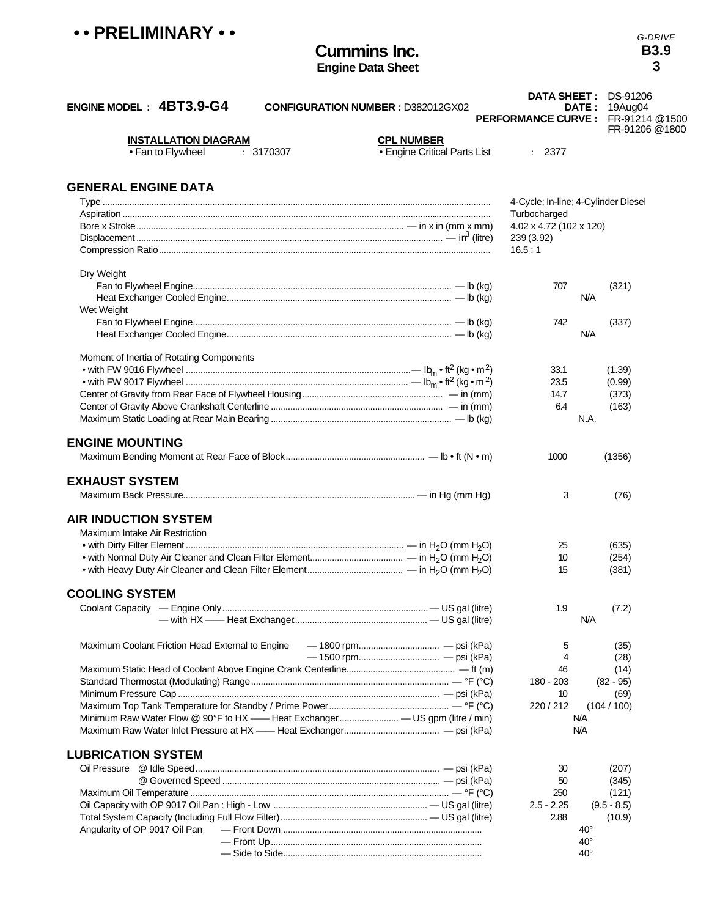*G-DRIVE* **B3.9 3**

| ENGINE MODEL: 4BT3.9-G4<br><b>CONFIGURATION NUMBER : D382012GX02</b>         |                              | <b>DATA SHEET: DS-91206</b><br>DATE :<br>PERFORMANCE CURVE: FR-91214 @1500 | 19Aug04<br>FR-91206 @1800 |
|------------------------------------------------------------------------------|------------------------------|----------------------------------------------------------------------------|---------------------------|
| <b>INSTALLATION DIAGRAM</b>                                                  | <b>CPL NUMBER</b>            |                                                                            |                           |
| • Fan to Flywheel<br>: 3170307                                               | · Engine Critical Parts List | : 2377                                                                     |                           |
| <b>GENERAL ENGINE DATA</b>                                                   |                              |                                                                            |                           |
|                                                                              |                              | 4-Cycle; In-line; 4-Cylinder Diesel                                        |                           |
|                                                                              |                              | Turbocharged                                                               |                           |
|                                                                              |                              | 4.02 x 4.72 (102 x 120)                                                    |                           |
|                                                                              |                              | 239 (3.92)                                                                 |                           |
|                                                                              |                              | 16.5:1                                                                     |                           |
| Dry Weight                                                                   |                              |                                                                            |                           |
|                                                                              |                              | 707                                                                        | (321)                     |
|                                                                              |                              | N/A                                                                        |                           |
| Wet Weight                                                                   |                              |                                                                            |                           |
|                                                                              |                              | 742                                                                        | (337)                     |
|                                                                              |                              | N/A                                                                        |                           |
|                                                                              |                              |                                                                            |                           |
| Moment of Inertia of Rotating Components                                     |                              |                                                                            |                           |
|                                                                              |                              | 33.1                                                                       | (1.39)                    |
|                                                                              |                              | 23.5                                                                       | (0.99)                    |
|                                                                              |                              | 14.7<br>6.4                                                                | (373)                     |
|                                                                              |                              | N.A.                                                                       | (163)                     |
|                                                                              |                              |                                                                            |                           |
| <b>ENGINE MOUNTING</b>                                                       |                              |                                                                            |                           |
|                                                                              |                              | 1000                                                                       | (1356)                    |
| <b>EXHAUST SYSTEM</b>                                                        |                              |                                                                            |                           |
|                                                                              |                              | 3                                                                          | (76)                      |
|                                                                              |                              |                                                                            |                           |
| <b>AIR INDUCTION SYSTEM</b>                                                  |                              |                                                                            |                           |
| Maximum Intake Air Restriction                                               |                              |                                                                            |                           |
|                                                                              |                              | 25                                                                         | (635)                     |
|                                                                              |                              | 10                                                                         | (254)                     |
|                                                                              |                              | 15                                                                         | (381)                     |
| <b>COOLING SYSTEM</b>                                                        |                              |                                                                            |                           |
|                                                                              |                              | 1.9                                                                        | (7.2)                     |
|                                                                              |                              | N/A                                                                        |                           |
|                                                                              |                              |                                                                            |                           |
| Maximum Coolant Friction Head External to Engine                             |                              | 5                                                                          | (35)                      |
|                                                                              |                              | 4                                                                          | (28)                      |
|                                                                              |                              | 46                                                                         | (14)                      |
|                                                                              |                              | 180 - 203                                                                  | $(82 - 95)$               |
|                                                                              |                              | 10                                                                         | (69)                      |
|                                                                              |                              | 220 / 212                                                                  | (104/100)                 |
| Minimum Raw Water Flow @ 90°F to HX —— Heat Exchanger — US gpm (litre / min) |                              | N/A                                                                        |                           |
|                                                                              |                              | <b>N/A</b>                                                                 |                           |
| <b>LUBRICATION SYSTEM</b>                                                    |                              |                                                                            |                           |
|                                                                              |                              | 30                                                                         | (207)                     |
|                                                                              |                              | 50                                                                         | (345)                     |
|                                                                              |                              | 250                                                                        | (121)                     |
|                                                                              |                              | $2.5 - 2.25$                                                               | $(9.5 - 8.5)$             |
|                                                                              |                              | 2.88                                                                       | (10.9)                    |
| Angularity of OP 9017 Oil Pan                                                |                              | 40°                                                                        |                           |
|                                                                              |                              | $40^{\circ}$                                                               |                           |
|                                                                              |                              | $40^{\circ}$                                                               |                           |

**Cummins Inc. Engine Data Sheet**

**• • PRELIMINARY • •**